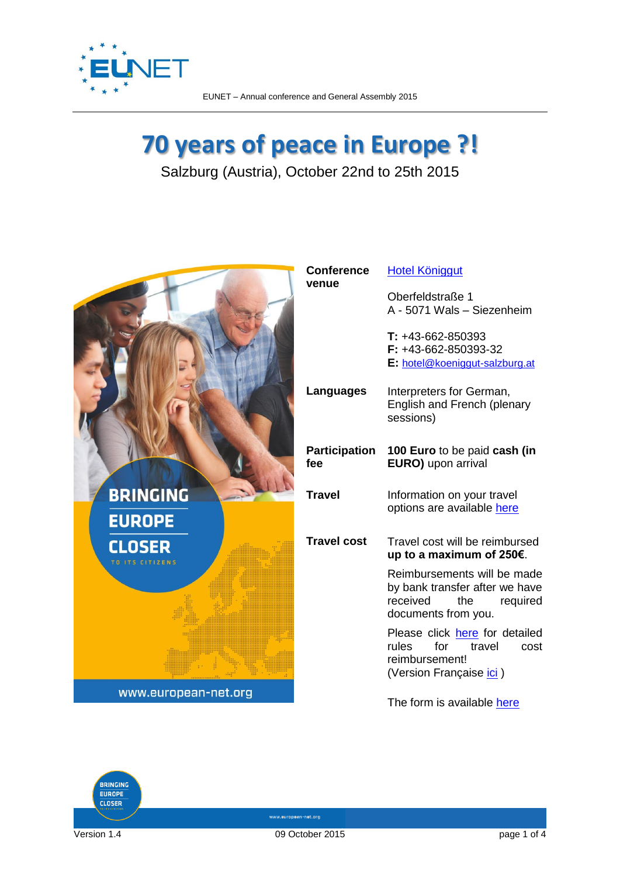

## **70 years of peace in Europe ?!**

Salzburg (Austria), October 22nd to 25th 2015





www.european-net.org

Version 1.4 09 October 2015 page 1 of 4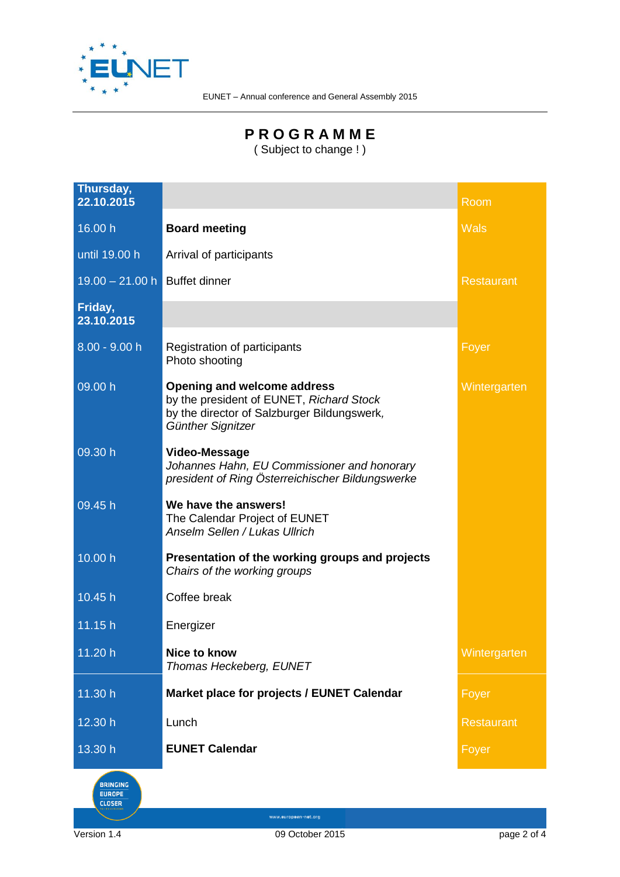

## **P R O G R A M M E**

( Subject to change ! )

| Thursday,<br>22.10.2015       |                                                                                                                                                    | Room              |
|-------------------------------|----------------------------------------------------------------------------------------------------------------------------------------------------|-------------------|
| 16.00 h                       | <b>Board meeting</b>                                                                                                                               | <b>Wals</b>       |
| until 19.00 h                 | Arrival of participants                                                                                                                            |                   |
| 19.00 - 21.00 h Buffet dinner |                                                                                                                                                    | <b>Restaurant</b> |
| Friday,<br>23.10.2015         |                                                                                                                                                    |                   |
| $8.00 - 9.00 h$               | Registration of participants<br>Photo shooting                                                                                                     | Foyer             |
| 09.00 h                       | <b>Opening and welcome address</b><br>by the president of EUNET, Richard Stock<br>by the director of Salzburger Bildungswerk,<br>Günther Signitzer | Wintergarten      |
| 09.30 h                       | Video-Message<br>Johannes Hahn, EU Commissioner and honorary<br>president of Ring Österreichischer Bildungswerke                                   |                   |
| 09.45h                        | We have the answers!<br>The Calendar Project of EUNET<br><b>Anselm Sellen / Lukas Ullrich</b>                                                      |                   |
| 10.00 h                       | Presentation of the working groups and projects<br>Chairs of the working groups                                                                    |                   |
| 10.45 h                       | Coffee break                                                                                                                                       |                   |
| 11.15h                        | Energizer                                                                                                                                          |                   |
| 11.20 h                       | <b>Nice to know</b><br>Thomas Heckeberg, EUNET                                                                                                     | Wintergarten      |
| 11.30 h                       | Market place for projects / EUNET Calendar                                                                                                         | Foyer             |
| 12.30 h                       | Lunch                                                                                                                                              | <b>Restaurant</b> |
| 13.30 h                       | <b>EUNET Calendar</b>                                                                                                                              | Foyer             |

BRINGING

Version 1.4 09 October 2015 page 2 of 4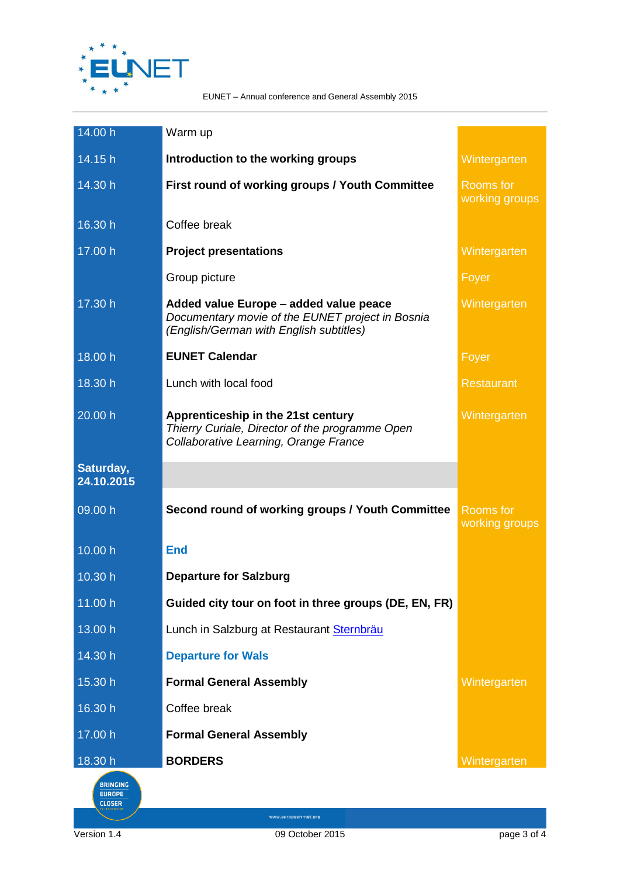

| 14.00 h                 | Warm up                                                                                                                               |                                    |
|-------------------------|---------------------------------------------------------------------------------------------------------------------------------------|------------------------------------|
| 14.15 h                 | Introduction to the working groups                                                                                                    | Wintergarten                       |
| 14.30 h                 | First round of working groups / Youth Committee                                                                                       | <b>Rooms</b> for<br>working groups |
| 16.30 h                 | Coffee break                                                                                                                          |                                    |
| 17.00 h                 | <b>Project presentations</b>                                                                                                          | Wintergarten                       |
|                         | Group picture                                                                                                                         | Foyer                              |
| 17.30 h                 | Added value Europe - added value peace<br>Documentary movie of the EUNET project in Bosnia<br>(English/German with English subtitles) | Wintergarten                       |
| 18.00 h                 | <b>EUNET Calendar</b>                                                                                                                 | Foyer                              |
| 18.30 h                 | Lunch with local food                                                                                                                 | <b>Restaurant</b>                  |
| 20.00 h                 | Apprenticeship in the 21st century<br>Thierry Curiale, Director of the programme Open<br>Collaborative Learning, Orange France        | Wintergarten                       |
| Saturday,<br>24.10.2015 |                                                                                                                                       |                                    |
| 09.00 h                 | Second round of working groups / Youth Committee                                                                                      | <b>Rooms for</b><br>working groups |
| 10.00 h                 | <b>End</b>                                                                                                                            |                                    |
| 10.30 h                 | <b>Departure for Salzburg</b>                                                                                                         |                                    |
| 11.00 h                 | Guided city tour on foot in three groups (DE, EN, FR)                                                                                 |                                    |
| 13.00 h                 | Lunch in Salzburg at Restaurant Sternbräu                                                                                             |                                    |
| 14.30 h                 | <b>Departure for Wals</b>                                                                                                             |                                    |
| 15.30 h                 | <b>Formal General Assembly</b>                                                                                                        | Wintergarten                       |
| 16.30 h                 | Coffee break                                                                                                                          |                                    |
| 17.00 h                 | <b>Formal General Assembly</b>                                                                                                        |                                    |
| 18.30 h                 | <b>BORDERS</b>                                                                                                                        | Wintergarten                       |



Version 1.4 09 October 2015 page 3 of 4